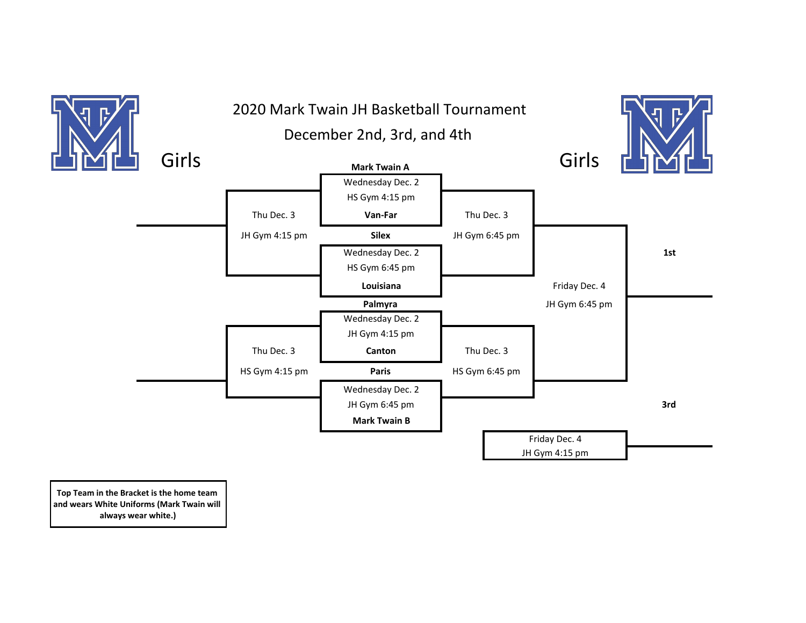

**Top Team in the Bracket is the home team and wears White Uniforms (Mark Twain will always wear white.)**